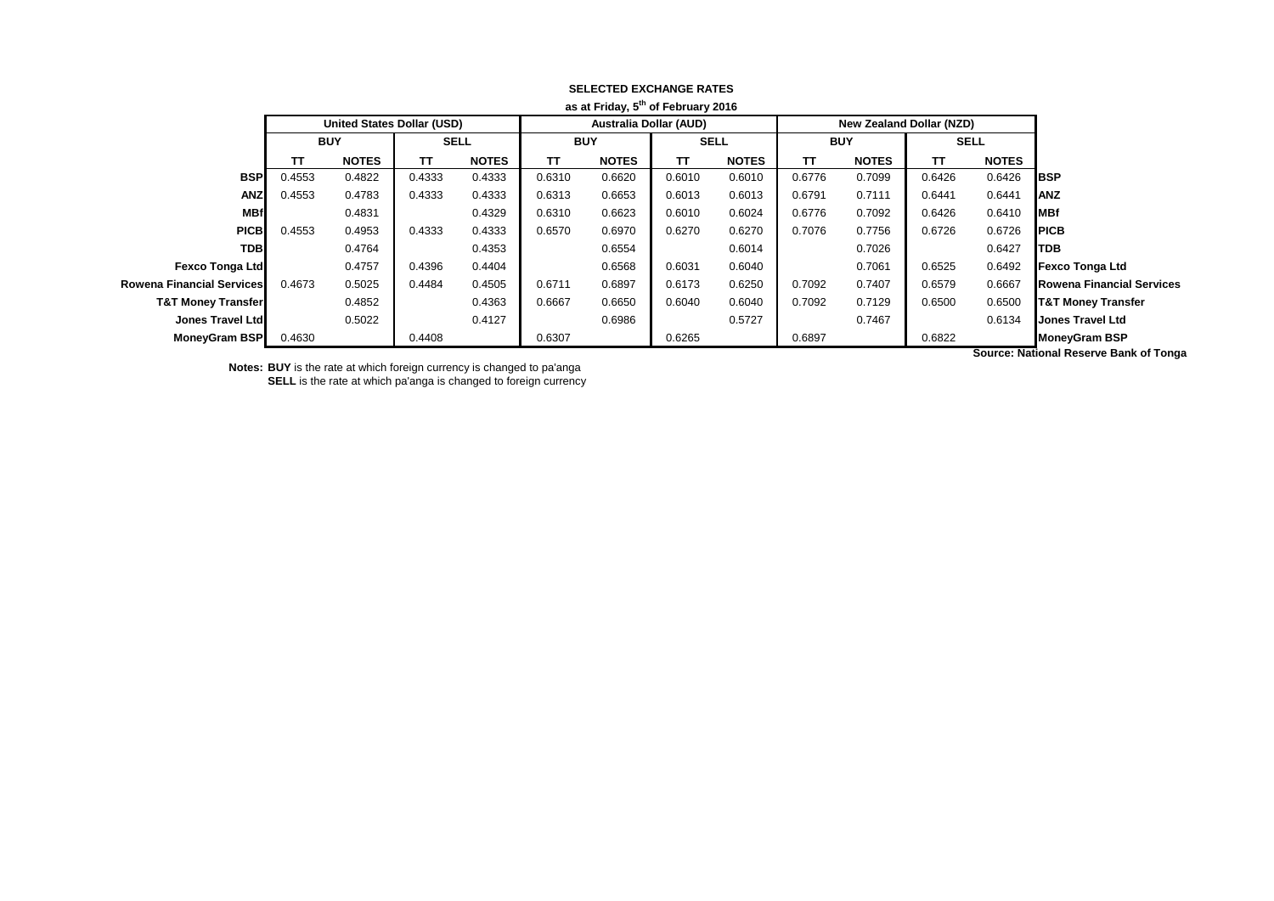|                                  |              |        |                                 |        |                               |        | as at Friday, 5" of February 2016 |            |              |                                   |              |            |                               |
|----------------------------------|--------------|--------|---------------------------------|--------|-------------------------------|--------|-----------------------------------|------------|--------------|-----------------------------------|--------------|------------|-------------------------------|
|                                  |              |        | <b>New Zealand Dollar (NZD)</b> |        | <b>Australia Dollar (AUD)</b> |        |                                   |            |              | <b>United States Dollar (USD)</b> |              |            |                               |
|                                  | <b>SELL</b>  |        | <b>BUY</b>                      |        | <b>SELL</b>                   |        |                                   | <b>BUY</b> |              | <b>SELL</b>                       |              | <b>BUY</b> |                               |
|                                  | <b>NOTES</b> | TΤ     | <b>NOTES</b>                    | TΤ     | <b>NOTES</b>                  | TT     | <b>NOTES</b>                      | TΤ         | <b>NOTES</b> | тт                                | <b>NOTES</b> | TΤ         |                               |
| <b>I</b> BSP                     | 0.6426       | 0.6426 | 0.7099                          | 0.6776 | 0.6010                        | 0.6010 | 0.6620                            | 0.6310     | 0.4333       | 0.4333                            | 0.4822       | 0.4553     | <b>BSP</b>                    |
| <b>ANZ</b>                       | 0.6441       | 0.6441 | 0.7111                          | 0.6791 | 0.6013                        | 0.6013 | 0.6653                            | 0.6313     | 0.4333       | 0.4333                            | 0.4783       | 0.4553     | <b>ANZ</b>                    |
| <b>MBf</b>                       | 0.6410       | 0.6426 | 0.7092                          | 0.6776 | 0.6024                        | 0.6010 | 0.6623                            | 0.6310     | 0.4329       |                                   | 0.4831       |            | <b>MBf</b>                    |
| <b>PICB</b>                      | 0.6726       | 0.6726 | 0.7756                          | 0.7076 | 0.6270                        | 0.6270 | 0.6970                            | 0.6570     | 0.4333       | 0.4333                            | 0.4953       | 0.4553     | <b>PICB</b>                   |
| <b>TDB</b>                       | 0.6427       |        | 0.7026                          |        | 0.6014                        |        | 0.6554                            |            | 0.4353       |                                   | 0.4764       |            | <b>TDB</b>                    |
| <b>Fexco Tonga Ltd</b>           | 0.6492       | 0.6525 | 0.7061                          |        | 0.6040                        | 0.6031 | 0.6568                            |            | 0.4404       | 0.4396                            | 0.4757       |            | <b>Fexco Tonga Ltd</b>        |
| <b>Rowena Financial Services</b> | 0.6667       | 0.6579 | 0.7407                          | 0.7092 | 0.6250                        | 0.6173 | 0.6897                            | 0.6711     | 0.4505       | 0.4484                            | 0.5025       | 0.4673     | Rowena Financial Services     |
| <b>T&amp;T Money Transfer</b>    | 0.6500       | 0.6500 | 0.7129                          | 0.7092 | 0.6040                        | 0.6040 | 0.6650                            | 0.6667     | 0.4363       |                                   | 0.4852       |            | <b>T&amp;T Money Transfer</b> |
| <b>Jones Travel Ltd</b>          | 0.6134       |        | 0.7467                          |        | 0.5727                        |        | 0.6986                            |            | 0.4127       |                                   | 0.5022       |            | Jones Travel Ltd              |
| <b>MoneyGram BSP</b>             |              | 0.6822 |                                 | 0.6897 |                               | 0.6265 |                                   | 0.6307     |              | 0.4408                            |              | 0.4630     | <b>MoneyGram BSP</b>          |
|                                  | .            |        |                                 |        |                               |        |                                   |            |              |                                   |              |            |                               |

## **SELECTED EXCHANGE RATES as at Friday, 5th of February 2016**

**Notes: BUY** is the rate at which foreign currency is changed to pa'anga **SELL** is the rate at which pa'anga is changed to foreign currency **Source: National Reserve Bank of Tonga**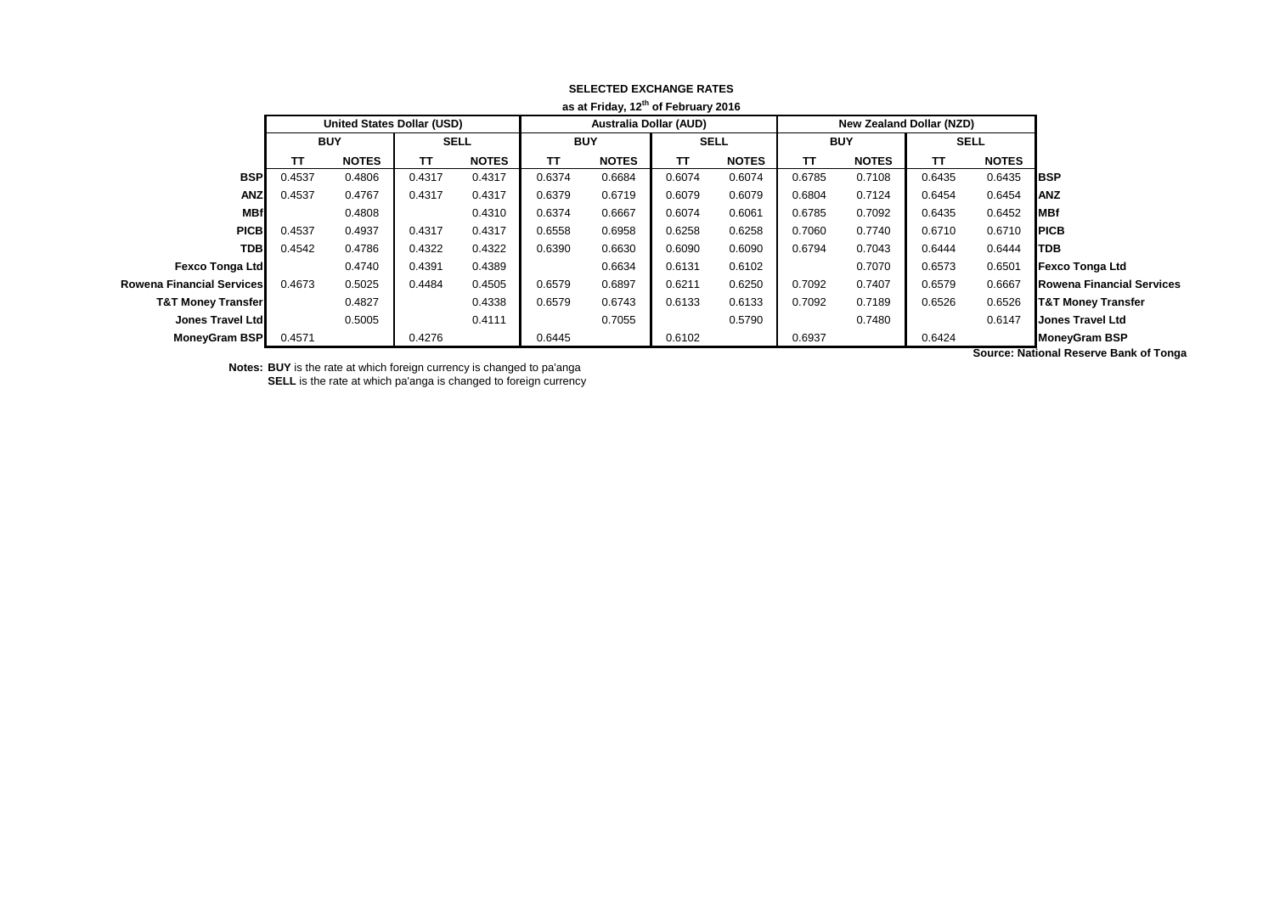|                                  |              |        |                          |        |                               |        | as at Friday, 12 of February 2016 |        |              |                                   |              |        |                               |
|----------------------------------|--------------|--------|--------------------------|--------|-------------------------------|--------|-----------------------------------|--------|--------------|-----------------------------------|--------------|--------|-------------------------------|
|                                  |              |        | New Zealand Dollar (NZD) |        | <b>Australia Dollar (AUD)</b> |        |                                   |        |              | <b>United States Dollar (USD)</b> |              |        |                               |
|                                  | <b>SELL</b>  |        | <b>BUY</b>               |        | <b>SELL</b>                   |        | <b>BUY</b>                        |        | <b>SELL</b>  |                                   | <b>BUY</b>   |        |                               |
|                                  | <b>NOTES</b> | TΤ     | <b>NOTES</b>             | TΤ     | <b>NOTES</b>                  | TT     | <b>NOTES</b>                      | TΤ     | <b>NOTES</b> | ТΤ                                | <b>NOTES</b> | TΤ     |                               |
| <b>BSP</b>                       | 0.6435       | 0.6435 | 0.7108                   | 0.6785 | 0.6074                        | 0.6074 | 0.6684                            | 0.6374 | 0.4317       | 0.4317                            | 0.4806       | 0.4537 | <b>BSP</b>                    |
| <b>ANZ</b>                       | 0.6454       | 0.6454 | 0.7124                   | 0.6804 | 0.6079                        | 0.6079 | 0.6719                            | 0.6379 | 0.4317       | 0.4317                            | 0.4767       | 0.4537 | <b>ANZ</b>                    |
| MBf                              | 0.6452       | 0.6435 | 0.7092                   | 0.6785 | 0.6061                        | 0.6074 | 0.6667                            | 0.6374 | 0.4310       |                                   | 0.4808       |        | <b>MBf</b>                    |
| <b>PICB</b>                      | 0.6710       | 0.6710 | 0.7740                   | 0.7060 | 0.6258                        | 0.6258 | 0.6958                            | 0.6558 | 0.4317       | 0.4317                            | 0.4937       | 0.4537 | <b>PICB</b>                   |
| <b>TDB</b>                       | 0.6444       | 0.6444 | 0.7043                   | 0.6794 | 0.6090                        | 0.6090 | 0.6630                            | 0.6390 | 0.4322       | 0.4322                            | 0.4786       | 0.4542 | <b>TDB</b>                    |
| <b>Fexco Tonga Ltd</b>           | 0.6501       | 0.6573 | 0.7070                   |        | 0.6102                        | 0.6131 | 0.6634                            |        | 0.4389       | 0.4391                            | 0.4740       |        | <b>Fexco Tonga Ltd</b>        |
| <b>Rowena Financial Services</b> | 0.6667       | 0.6579 | 0.7407                   | 0.7092 | 0.6250                        | 0.6211 | 0.6897                            | 0.6579 | 0.4505       | 0.4484                            | 0.5025       | 0.4673 | Rowena Financial Services     |
| <b>T&amp;T Money Transfer</b>    | 0.6526       | 0.6526 | 0.7189                   | 0.7092 | 0.6133                        | 0.6133 | 0.6743                            | 0.6579 | 0.4338       |                                   | 0.4827       |        | <b>T&amp;T Money Transfer</b> |
| <b>Jones Travel Ltd</b>          | 0.6147       |        | 0.7480                   |        | 0.5790                        |        | 0.7055                            |        | 0.4111       |                                   | 0.5005       |        | Jones Travel Ltd              |
| <b>MoneyGram BSP</b>             |              | 0.6424 |                          | 0.6937 |                               | 0.6102 |                                   | 0.6445 |              | 0.4276                            |              | 0.4571 | <b>MoneyGram BSP</b>          |
|                                  | .            |        |                          |        |                               |        |                                   |        |              |                                   |              |        |                               |

## **SELECTED EXCHANGE RATES as at Friday, 12th of February 2016**

**Notes: BUY** is the rate at which foreign currency is changed to pa'anga **SELL** is the rate at which pa'anga is changed to foreign currency **Source: National Reserve Bank of Tonga**